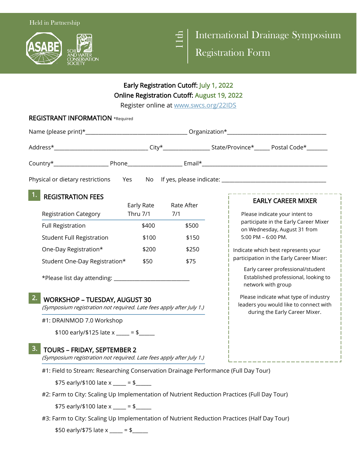



International Drainage Symposium

Registration Form

## Early Registration Cutoff: July 1, 2022 Online Registration Cutoff: August 19, 2022

Register online at www.swcs.org/22IDS

|                                                                                                                    |            | Register Unime at <u>WWW.SWCS.UP2/22IDS</u> |  |                                                                                                                   |  |
|--------------------------------------------------------------------------------------------------------------------|------------|---------------------------------------------|--|-------------------------------------------------------------------------------------------------------------------|--|
| <b>REGISTRANT INFORMATION *Required</b>                                                                            |            |                                             |  |                                                                                                                   |  |
|                                                                                                                    |            |                                             |  |                                                                                                                   |  |
|                                                                                                                    |            |                                             |  |                                                                                                                   |  |
|                                                                                                                    |            |                                             |  |                                                                                                                   |  |
|                                                                                                                    |            |                                             |  |                                                                                                                   |  |
| <b>REGISTRATION FEES</b>                                                                                           | Early Rate | Rate After                                  |  | <b>EARLY CAREER MIXER</b>                                                                                         |  |
| <b>Registration Category</b>                                                                                       | Thru 7/1   | 7/1                                         |  | Please indicate your intent to<br>participate in the Early Career Mixer                                           |  |
| <b>Full Registration</b>                                                                                           | \$400      | \$500                                       |  | on Wednesday, August 31 from                                                                                      |  |
| <b>Student Full Registration</b>                                                                                   | \$100      | \$150                                       |  | 5:00 PM - 6:00 PM.                                                                                                |  |
| One-Day Registration*                                                                                              | \$200      | \$250                                       |  | Indicate which best represents your                                                                               |  |
| Student One-Day Registration*                                                                                      | \$50       | \$75                                        |  | participation in the Early Career Mixer:                                                                          |  |
|                                                                                                                    |            |                                             |  | Early career professional/student<br>Established professional, looking to<br>network with group                   |  |
| 2.<br><b>WORKSHOP - TUESDAY, AUGUST 30</b><br>(Symposium registration not required. Late fees apply after July 1.) |            |                                             |  | Please indicate what type of industry<br>leaders you would like to connect with<br>during the Early Career Mixer. |  |
| #1: DRAINMOD 7.0 Workshop                                                                                          |            |                                             |  |                                                                                                                   |  |
| \$100 early/\$125 late x ____ = \$ ____                                                                            |            |                                             |  |                                                                                                                   |  |
| 3.<br><b>TOURS - FRIDAY, SEPTEMBER 2</b><br>(Symposium registration not required. Late fees apply after July 1.)   |            |                                             |  |                                                                                                                   |  |
| #1: Field to Stream: Researching Conservation Drainage Performance (Full Day Tour)                                 |            |                                             |  |                                                                                                                   |  |
| \$75 early/\$100 late x ____ = \$_____                                                                             |            |                                             |  |                                                                                                                   |  |
| #2: Farm to City: Scaling Up Implementation of Nutrient Reduction Practices (Full Day Tour)                        |            |                                             |  |                                                                                                                   |  |
| \$75 early/\$100 late x ____ = \$_____                                                                             |            |                                             |  |                                                                                                                   |  |
| #3: Farm to City: Scaling Up Implementation of Nutrient Reduction Practices (Half Day Tour)                        |            |                                             |  |                                                                                                                   |  |

\$50 early/\$75 late x \_\_\_\_ = \$\_\_\_\_\_